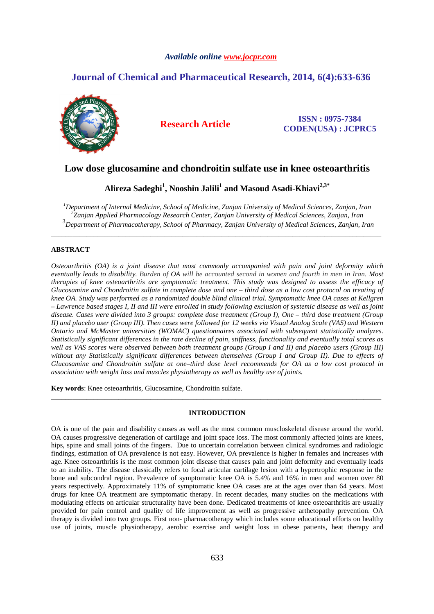# *Available online www.jocpr.com*

# **Journal of Chemical and Pharmaceutical Research, 2014, 6(4):633-636**



# **Research Article ISSN : 0975-7384 CODEN(USA) : JCPRC5**

# **Low dose glucosamine and chondroitin sulfate use in knee osteoarthritis**

**Alireza Sadeghi<sup>1</sup> , Nooshin Jalili<sup>1</sup> and Masoud Asadi-Khiavi2,3\*** 

*<sup>1</sup>Department of Internal Medicine, School of Medicine, Zanjan University of Medical Sciences, Zanjan, Iran 2 Zanjan Applied Pharmacology Research Center, Zanjan University of Medical Sciences, Zanjan, Iran*  3 *Department of Pharmacotherapy, School of Pharmacy, Zanjan University of Medical Sciences, Zanjan, Iran*

\_\_\_\_\_\_\_\_\_\_\_\_\_\_\_\_\_\_\_\_\_\_\_\_\_\_\_\_\_\_\_\_\_\_\_\_\_\_\_\_\_\_\_\_\_\_\_\_\_\_\_\_\_\_\_\_\_\_\_\_\_\_\_\_\_\_\_\_\_\_\_\_\_\_\_\_\_\_\_\_\_\_\_\_\_\_\_\_\_\_\_\_\_

# **ABSTRACT**

*Osteoarthritis (OA) is a joint disease that most commonly accompanied with pain and joint deformity which eventually leads to disability. Burden of OA will be accounted second in women and fourth in men in Iran. Most therapies of knee osteoarthritis are symptomatic treatment. This study was designed to assess the efficacy of Glucosamine and Chondroitin sulfate in complete dose and one – third dose as a low cost protocol on treating of knee OA. Study was performed as a randomized double blind clinical trial. Symptomatic knee OA cases at Kellgren – Lawrence based stages I, II and III were enrolled in study following exclusion of systemic disease as well as joint disease. Cases were divided into 3 groups: complete dose treatment (Group I), One – third dose treatment (Group II) and placebo user (Group III). Then cases were followed for 12 weeks via Visual Analog Scale (VAS) and Western Ontario and McMaster universities (WOMAC) questionnaires associated with subsequent statistically analyzes. Statistically significant differences in the rate decline of pain, stiffness, functionality and eventually total scores as well as VAS scores were observed between both treatment groups (Group I and II) and placebo users (Group III) without any Statistically significant differences between themselves (Group I and Group II). Due to effects of Glucosamine and Chondroitin sulfate at one–third dose level recommends for OA as a low cost protocol in association with weight loss and muscles physiotherapy as well as healthy use of joints.* 

**Key words**: Knee osteoarthritis, Glucosamine, Chondroitin sulfate.

# **INTRODUCTION**

\_\_\_\_\_\_\_\_\_\_\_\_\_\_\_\_\_\_\_\_\_\_\_\_\_\_\_\_\_\_\_\_\_\_\_\_\_\_\_\_\_\_\_\_\_\_\_\_\_\_\_\_\_\_\_\_\_\_\_\_\_\_\_\_\_\_\_\_\_\_\_\_\_\_\_\_\_\_\_\_\_\_\_\_\_\_\_\_\_\_\_\_\_

OA is one of the pain and disability causes as well as the most common muscloskeletal disease around the world. OA causes progressive degeneration of cartilage and joint space loss. The most commonly affected joints are knees, hips, spine and small joints of the fingers. Due to uncertain correlation between clinical syndromes and radiologic findings, estimation of OA prevalence is not easy. However, OA prevalence is higher in females and increases with age. Knee osteoarthritis is the most common joint disease that causes pain and joint deformity and eventually leads to an inability. The disease classically refers to focal articular cartilage lesion with a hypertrophic response in the bone and subcondral region. Prevalence of symptomatic knee OA is 5.4% and 16% in men and women over 80 years respectively. Approximately 11% of symptomatic knee OA cases are at the ages over than 64 years. Most drugs for knee OA treatment are symptomatic therapy. In recent decades, many studies on the medications with modulating effects on articular structurality have been done. Dedicated treatments of knee osteoarthritis are usually provided for pain control and quality of life improvement as well as progressive arthetopathy prevention. OA therapy is divided into two groups. First non- pharmacotherapy which includes some educational efforts on healthy use of joints, muscle physiotherapy, aerobic exercise and weight loss in obese patients, heat therapy and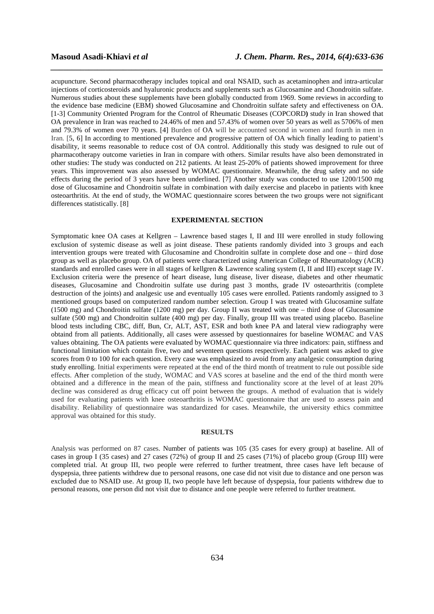acupuncture. Second pharmacotherapy includes topical and oral NSAID, such as acetaminophen and intra-articular injections of corticosteroids and hyaluronic products and supplements such as Glucosamine and Chondroitin sulfate. Numerous studies about these supplements have been globally conducted from 1969. Some reviews in according to the evidence base medicine (EBM) showed Glucosamine and Chondroitin sulfate safety and effectiveness on OA. [1-3] Community Oriented Program for the Control of Rheumatic Diseases (COPCORD**)** study in Iran showed that OA prevalence in Iran was reached to 24.46% of men and 57.43% of women over 50 years as well as 5706% of men and 79.3% of women over 70 years. [4] Burden of OA will be accounted second in women and fourth in men in Iran. [5, 6] In according to mentioned prevalence and progressive pattern of OA which finally leading to patient's disability, it seems reasonable to reduce cost of OA control. Additionally this study was designed to rule out of pharmacotherapy outcome varieties in Iran in compare with others. Similar results have also been demonstrated in other studies: The study was conducted on 212 patients. At least 25-20% of patients showed improvement for three years. This improvement was also assessed by WOMAC questionnaire. Meanwhile, the drug safety and no side effects during the period of 3 years have been underlined. [7] Another study was conducted to use 1200/1500 mg dose of Glucosamine and Chondroitin sulfate in combination with daily exercise and placebo in patients with knee osteoarthritis. At the end of study, the WOMAC questionnaire scores between the two groups were not significant differences statistically. [8]

*\_\_\_\_\_\_\_\_\_\_\_\_\_\_\_\_\_\_\_\_\_\_\_\_\_\_\_\_\_\_\_\_\_\_\_\_\_\_\_\_\_\_\_\_\_\_\_\_\_\_\_\_\_\_\_\_\_\_\_\_\_\_\_\_\_\_\_\_\_\_\_\_\_\_\_\_\_\_*

## **EXPERIMENTAL SECTION**

Symptomatic knee OA cases at Kellgren – Lawrence based stages I, II and III were enrolled in study following exclusion of systemic disease as well as joint disease. These patients randomly divided into 3 groups and each intervention groups were treated with Glucosamine and Chondroitin sulfate in complete dose and one – third dose group as well as placebo group. OA of patients were characterized using American College of Rheumatology (ACR) standards and enrolled cases were in all stages of kellgren & Lawrence scaling system (I, II and III) except stage IV. Exclusion criteria were the presence of heart disease, lung disease, liver disease, diabetes and other rheumatic diseases, Glucosamine and Chondroitin sulfate use during past 3 months, grade IV osteoarthritis (complete destruction of the joints) and analgesic use and eventually 105 cases were enrolled. Patients randomly assigned to 3 mentioned groups based on computerized random number selection. Group I was treated with Glucosamine sulfate (1500 mg) and Chondroitin sulfate (1200 mg) per day. Group II was treated with one – third dose of Glucosamine sulfate (500 mg) and Chondroitin sulfate (400 mg) per day. Finally, group III was treated using placebo. Baseline blood tests including CBC, diff, Bun, Cr, ALT, AST, ESR and both knee PA and lateral view radiography were obtaind from all patients. Additionally, all cases were assessed by questionnaires for baseline WOMAC and VAS values obtaining. The OA patients were evaluated by WOMAC questionnaire via three indicators: pain, stiffness and functional limitation which contain five, two and seventeen questions respectively. Each patient was asked to give scores from 0 to 100 for each question. Every case was emphasized to avoid from any analgesic consumption during study enrolling. Initial experiments were repeated at the end of the third month of treatment to rule out possible side effects. After completion of the study, WOMAC and VAS scores at baseline and the end of the third month were obtained and a difference in the mean of the pain, stiffness and functionality score at the level of at least 20% decline was considered as drug efficacy cut off point between the groups. A method of evaluation that is widely used for evaluating patients with knee osteoarthritis is WOMAC questionnaire that are used to assess pain and disability. Reliability of questionnaire was standardized for cases. Meanwhile, the university ethics committee approval was obtained for this study.

#### **RESULTS**

Analysis was performed on 87 cases. Number of patients was 105 (35 cases for every group) at baseline. All of cases in group I (35 cases) and 27 cases (72%) of group II and 25 cases (71%) of placebo group (Group III) were completed trial. At group III, two people were referred to further treatment, three cases have left because of dyspepsia, three patients withdrew due to personal reasons, one case did not visit due to distance and one person was excluded due to NSAID use. At group II, two people have left because of dyspepsia, four patients withdrew due to personal reasons, one person did not visit due to distance and one people were referred to further treatment.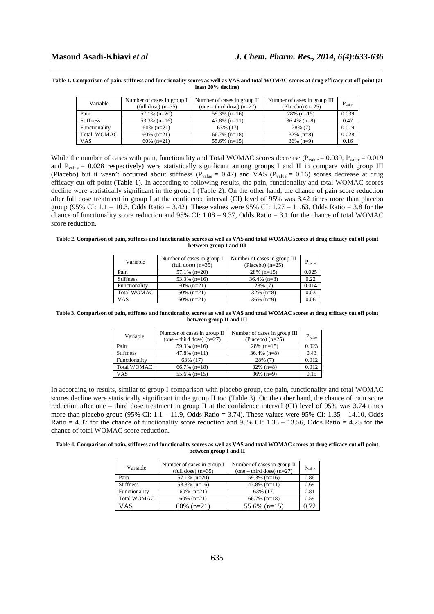#### **Table 1. Comparison of pain, stiffness and functionality scores as well as VAS and total WOMAC scores at drug efficacy cut off point (at least 20% decline)**

*\_\_\_\_\_\_\_\_\_\_\_\_\_\_\_\_\_\_\_\_\_\_\_\_\_\_\_\_\_\_\_\_\_\_\_\_\_\_\_\_\_\_\_\_\_\_\_\_\_\_\_\_\_\_\_\_\_\_\_\_\_\_\_\_\_\_\_\_\_\_\_\_\_\_\_\_\_\_*

| Variable         | Number of cases in group I<br>$(tull dose)$ (n=35) | Number of cases in group II<br>$(one - third dose) (n=27)$ | Number of cases in group III<br>(Placebo) $(n=25)$ | $P_{value}$ |
|------------------|----------------------------------------------------|------------------------------------------------------------|----------------------------------------------------|-------------|
| Pain             | $57.1\%$ (n=20)                                    | $59.3\%$ (n=16)                                            | $28\%$ (n=15)                                      | 0.039       |
| <b>Stiffness</b> | $53.3\%$ (n=16)                                    | $47.8\%$ (n=11)                                            | $36.4\%$ (n=8)                                     | 0.47        |
| Functionality    | $60\%$ (n=21)                                      | 63% (17)                                                   | $28\%$ (7)                                         | 0.019       |
| Total WOMAC      | $60\%$ (n=21)                                      | $66.7\%$ (n=18)                                            | $32\%$ (n=8)                                       | 0.028       |
| <b>VAS</b>       | $60\%$ (n=21)                                      | $55.6\%$ (n=15)                                            | $36\%$ (n=9)                                       | 0.16        |

While the number of cases with pain, functionality and Total WOMAC scores decrease ( $P_{value} = 0.039$ ,  $P_{value} = 0.019$ ) and  $P_{value} = 0.028$  respectively) were statistically significant among groups I and II in compare with group III (Placebo) but it wasn't occurred about stiffness ( $P_{value} = 0.47$ ) and VAS ( $P_{value} = 0.16$ ) scores decrease at drug efficacy cut off point (Table 1). In according to following results, the pain, functionality and total WOMAC scores decline were statistically significant in the group I (Table 2). On the other hand, the chance of pain score reduction after full dose treatment in group I at the confidence interval (CI) level of 95% was 3.42 times more than placebo group (95% CI:  $1.1 - 10.3$ , Odds Ratio = 3.42). These values were 95% CI:  $1.27 - 11.63$ , Odds Ratio = 3.8 for the chance of functionality score reduction and 95% CI:  $1.08 - 9.37$ , Odds Ratio = 3.1 for the chance of total WOMAC score reduction.

#### **Table 2. Comparison of pain, stiffness and functionality scores as well as VAS and total WOMAC scores at drug efficacy cut off point between group I and III**

| Variable           | Number of cases in group I<br>$(tull dose)$ (n=35) | Number of cases in group III<br>(Placebo) $(n=25)$ | $P_{value}$ |
|--------------------|----------------------------------------------------|----------------------------------------------------|-------------|
| Pain               | $57.1\%$ (n=20)                                    | $28\%$ (n=15)                                      | 0.025       |
|                    |                                                    |                                                    |             |
| <b>Stiffness</b>   | $53.3\%$ (n=16)                                    | $36.4\%$ (n=8)                                     | 0.22        |
| Functionality      | $60\%$ (n=21)                                      | 28% (7)                                            | 0.014       |
| <b>Total WOMAC</b> | $60\%$ (n=21)                                      | $32\%$ (n=8)                                       | 0.03        |
| VAS                | $60\%$ (n=21)                                      | $36\%$ (n=9)                                       | 0.06        |

**Table 3. Comparison of pain, stiffness and functionality scores as well as VAS and total WOMAC scores at drug efficacy cut off point between group II and III** 

| Variable           | Number of cases in group II<br>$(one - third dose) (n=27)$ | Number of cases in group III<br>(Placebo) $(n=25)$ | $P_{value}$ |
|--------------------|------------------------------------------------------------|----------------------------------------------------|-------------|
| Pain               | $59.3\%$ (n=16)                                            | $28\%$ (n=15)                                      | 0.023       |
| <b>Stiffness</b>   | $47.8\%$ (n=11)                                            | $36.4\%$ (n=8)                                     | 0.43        |
| Functionality      | 63% (17)                                                   | $28\%$ (7)                                         | 0.012       |
| <b>Total WOMAC</b> | $66.7\%$ (n=18)                                            | $32\%$ (n=8)                                       | 0.012       |
| VAS                | $55.6\%$ (n=15)                                            | $36\%$ (n=9)                                       | 0.15        |

In according to results, similar to group I comparison with placebo group, the pain, functionality and total WOMAC scores decline were statistically significant in the group II too (Table 3). On the other hand, the chance of pain score reduction after one – third dose treatment in group II at the confidence interval (CI) level of 95% was 3.74 times more than placebo group (95% CI: 1.1 – 11.9, Odds Ratio = 3.74). These values were 95% CI: 1.35 – 14.10, Odds Ratio  $= 4.37$  for the chance of functionality score reduction and 95% CI: 1.33 – 13.56, Odds Ratio  $= 4.25$  for the chance of total WOMAC score reduction.

#### **Table 4. Comparison of pain, stiffness and functionality scores as well as VAS and total WOMAC scores at drug efficacy cut off point between group I and II**

| Variable           | Number of cases in group I<br>$(tull dose)$ (n=35) | Number of cases in group II<br>$(one - third dose) (n=27)$ | $P_{value}$ |
|--------------------|----------------------------------------------------|------------------------------------------------------------|-------------|
| Pain               | $57.1\%$ (n=20)                                    | $59.3\%$ (n=16)                                            | 0.86        |
| <b>Stiffness</b>   | $53.3\%$ (n=16)                                    | $47.8\%$ (n=11)                                            | 0.69        |
| Functionality      | $60\%$ (n=21)                                      | 63% (17)                                                   | 0.81        |
| <b>Total WOMAC</b> | $60\%$ (n=21)                                      | $66.7\%$ (n=18)                                            | 0.59        |
| <b>VAS</b>         | $60\%$ (n=21)                                      | $55.6\%$ (n=15)                                            | በ 72        |